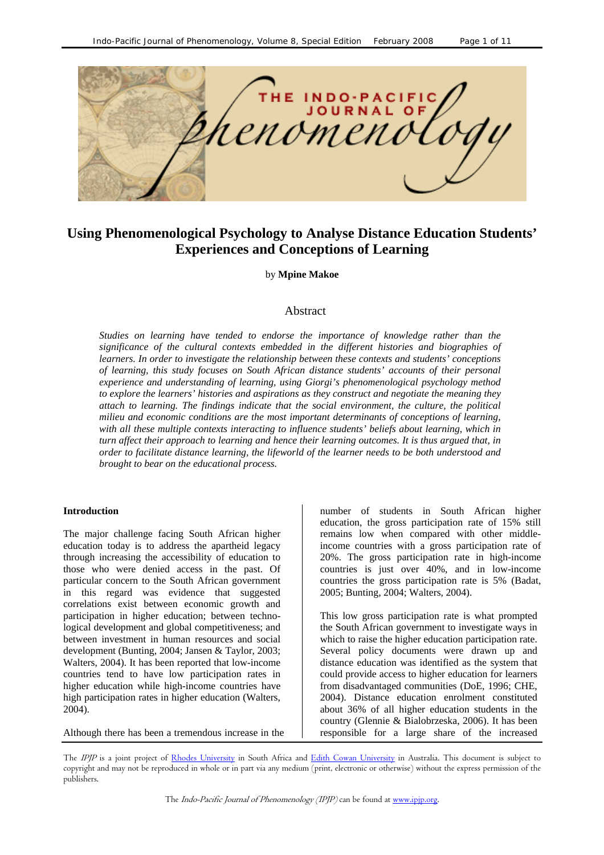

# **Using Phenomenological Psychology to Analyse Distance Education Students' Experiences and Conceptions of Learning**

by **Mpine Makoe** 

### Abstract

*Studies on learning have tended to endorse the importance of knowledge rather than the significance of the cultural contexts embedded in the different histories and biographies of learners. In order to investigate the relationship between these contexts and students' conceptions of learning, this study focuses on South African distance students' accounts of their personal experience and understanding of learning, using Giorgi's phenomenological psychology method to explore the learners' histories and aspirations as they construct and negotiate the meaning they attach to learning. The findings indicate that the social environment, the culture, the political milieu and economic conditions are the most important determinants of conceptions of learning,*  with all these multiple contexts interacting to influence students' beliefs about learning, which in *turn affect their approach to learning and hence their learning outcomes. It is thus argued that, in order to facilitate distance learning, the lifeworld of the learner needs to be both understood and brought to bear on the educational process.* 

#### **Introduction**

The major challenge facing South African higher education today is to address the apartheid legacy through increasing the accessibility of education to those who were denied access in the past. Of particular concern to the South African government in this regard was evidence that suggested correlations exist between economic growth and participation in higher education; between technological development and global competitiveness; and between investment in human resources and social development (Bunting, 2004; Jansen & Taylor, 2003; Walters, 2004). It has been reported that low-income countries tend to have low participation rates in higher education while high-income countries have high participation rates in higher education (Walters, 2004).

Although there has been a tremendous increase in the

number of students in South African higher education, the gross participation rate of 15% still remains low when compared with other middleincome countries with a gross participation rate of 20%. The gross participation rate in high-income countries is just over 40%, and in low-income countries the gross participation rate is 5% (Badat, 2005; Bunting, 2004; Walters, 2004).

This low gross participation rate is what prompted the South African government to investigate ways in which to raise the higher education participation rate. Several policy documents were drawn up and distance education was identified as the system that could provide access to higher education for learners from disadvantaged communities (DoE, 1996; CHE, 2004). Distance education enrolment constituted about 36% of all higher education students in the country (Glennie & Bialobrzeska, 2006). It has been responsible for a large share of the increased

The IPJP is a joint project of Rhodes University in South Africa and Edith Cowan University in Australia. This document is subject to copyright and may not be reproduced in whole or in part via any medium (print, electronic or otherwise) without the express permission of the publishers.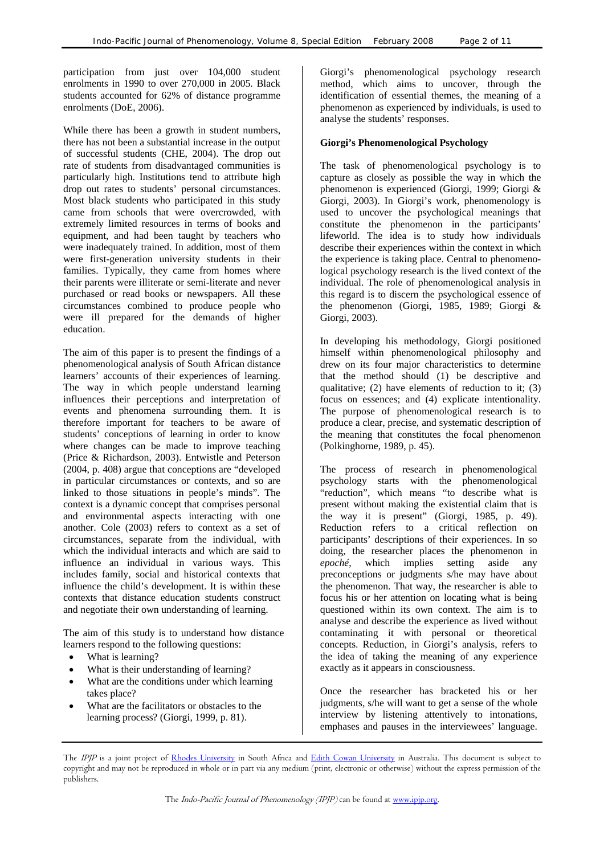participation from just over 104,000 student enrolments in 1990 to over 270,000 in 2005. Black students accounted for 62% of distance programme enrolments (DoE, 2006).

While there has been a growth in student numbers, there has not been a substantial increase in the output of successful students (CHE, 2004). The drop out rate of students from disadvantaged communities is particularly high. Institutions tend to attribute high drop out rates to students' personal circumstances. Most black students who participated in this study came from schools that were overcrowded, with extremely limited resources in terms of books and equipment, and had been taught by teachers who were inadequately trained. In addition, most of them were first-generation university students in their families. Typically, they came from homes where their parents were illiterate or semi-literate and never purchased or read books or newspapers. All these circumstances combined to produce people who were ill prepared for the demands of higher education.

The aim of this paper is to present the findings of a phenomenological analysis of South African distance learners' accounts of their experiences of learning. The way in which people understand learning influences their perceptions and interpretation of events and phenomena surrounding them. It is therefore important for teachers to be aware of students' conceptions of learning in order to know where changes can be made to improve teaching (Price & Richardson, 2003). Entwistle and Peterson (2004, p. 408) argue that conceptions are "developed in particular circumstances or contexts, and so are linked to those situations in people's minds". The context is a dynamic concept that comprises personal and environmental aspects interacting with one another. Cole (2003) refers to context as a set of circumstances, separate from the individual, with which the individual interacts and which are said to influence an individual in various ways. This includes family, social and historical contexts that influence the child's development. It is within these contexts that distance education students construct and negotiate their own understanding of learning.

The aim of this study is to understand how distance learners respond to the following questions:

- What is learning?
- What is their understanding of learning?
- What are the conditions under which learning takes place?
- What are the facilitators or obstacles to the learning process? (Giorgi, 1999, p. 81).

Giorgi's phenomenological psychology research method, which aims to uncover, through the identification of essential themes, the meaning of a phenomenon as experienced by individuals, is used to analyse the students' responses.

### **Giorgi's Phenomenological Psychology**

The task of phenomenological psychology is to capture as closely as possible the way in which the phenomenon is experienced (Giorgi, 1999; Giorgi & Giorgi, 2003). In Giorgi's work, phenomenology is used to uncover the psychological meanings that constitute the phenomenon in the participants' lifeworld. The idea is to study how individuals describe their experiences within the context in which the experience is taking place. Central to phenomenological psychology research is the lived context of the individual. The role of phenomenological analysis in this regard is to discern the psychological essence of the phenomenon (Giorgi, 1985, 1989; Giorgi & Giorgi, 2003).

In developing his methodology, Giorgi positioned himself within phenomenological philosophy and drew on its four major characteristics to determine that the method should (1) be descriptive and qualitative; (2) have elements of reduction to it; (3) focus on essences; and (4) explicate intentionality. The purpose of phenomenological research is to produce a clear, precise, and systematic description of the meaning that constitutes the focal phenomenon (Polkinghorne, 1989, p. 45).

The process of research in phenomenological psychology starts with the phenomenological "reduction", which means "to describe what is present without making the existential claim that is the way it is present" (Giorgi, 1985, p. 49). Reduction refers to a critical reflection on participants' descriptions of their experiences. In so doing, the researcher places the phenomenon in *epoché*, which implies setting aside any preconceptions or judgments s/he may have about the phenomenon. That way, the researcher is able to focus his or her attention on locating what is being questioned within its own context. The aim is to analyse and describe the experience as lived without contaminating it with personal or theoretical concepts. Reduction, in Giorgi's analysis, refers to the idea of taking the meaning of any experience exactly as it appears in consciousness.

Once the researcher has bracketed his or her judgments, s/he will want to get a sense of the whole interview by listening attentively to intonations, emphases and pauses in the interviewees' language.

The IPJP is a joint project of Rhodes University in South Africa and Edith Cowan University in Australia. This document is subject to copyright and may not be reproduced in whole or in part via any medium (print, electronic or otherwise) without the express permission of the publishers.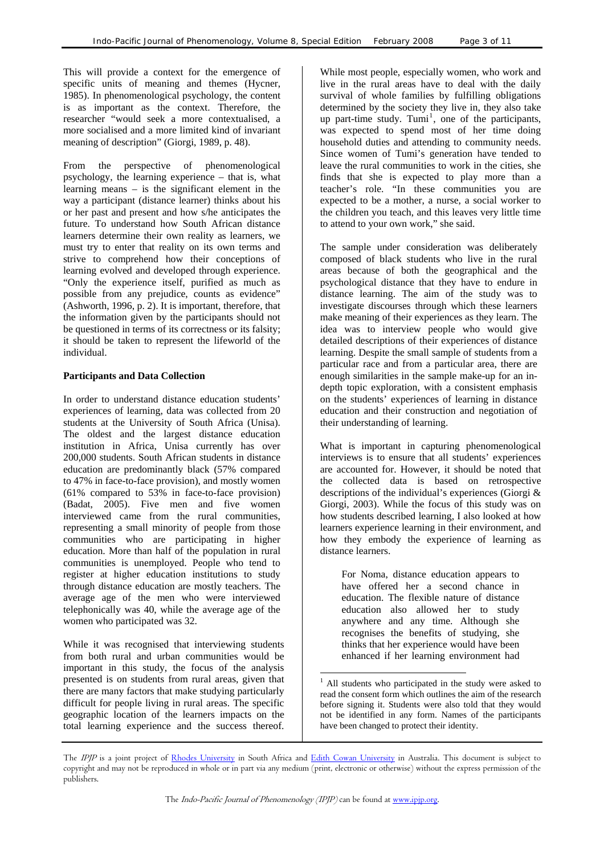This will provide a context for the emergence of specific units of meaning and themes (Hycner, 1985). In phenomenological psychology, the content is as important as the context. Therefore, the researcher "would seek a more contextualised, a more socialised and a more limited kind of invariant meaning of description" (Giorgi, 1989, p. 48).

From the perspective of phenomenological psychology, the learning experience – that is, what learning means – is the significant element in the way a participant (distance learner) thinks about his or her past and present and how s/he anticipates the future. To understand how South African distance learners determine their own reality as learners, we must try to enter that reality on its own terms and strive to comprehend how their conceptions of learning evolved and developed through experience. "Only the experience itself, purified as much as possible from any prejudice, counts as evidence" (Ashworth, 1996, p. 2). It is important, therefore, that the information given by the participants should not be questioned in terms of its correctness or its falsity; it should be taken to represent the lifeworld of the individual.

# **Participants and Data Collection**

In order to understand distance education students' experiences of learning, data was collected from 20 students at the University of South Africa (Unisa). The oldest and the largest distance education institution in Africa, Unisa currently has over 200,000 students. South African students in distance education are predominantly black (57% compared to 47% in face-to-face provision), and mostly women (61% compared to 53% in face-to-face provision) (Badat, 2005). Five men and five women interviewed came from the rural communities, representing a small minority of people from those communities who are participating in higher education. More than half of the population in rural communities is unemployed. People who tend to register at higher education institutions to study through distance education are mostly teachers. The average age of the men who were interviewed telephonically was 40, while the average age of the women who participated was 32.

<span id="page-2-0"></span>While it was recognised that interviewing students from both rural and urban communities would be important in this study, the focus of the analysis presented is on students from rural areas, given that there are many factors that make studying particularly difficult for people living in rural areas. The specific geographic location of the learners impacts on the total learning experience and the success thereof.

While most people, especially women, who work and live in the rural areas have to deal with the daily survival of whole families by fulfilling obligations determined by the society they live in, they also take up part-time study. Tumi<sup>[1](#page-2-0)</sup>, one of the participants, was expected to spend most of her time doing household duties and attending to community needs. Since women of Tumi's generation have tended to leave the rural communities to work in the cities, she finds that she is expected to play more than a teacher's role. "In these communities you are expected to be a mother, a nurse, a social worker to the children you teach, and this leaves very little time to attend to your own work," she said.

The sample under consideration was deliberately composed of black students who live in the rural areas because of both the geographical and the psychological distance that they have to endure in distance learning. The aim of the study was to investigate discourses through which these learners make meaning of their experiences as they learn. The idea was to interview people who would give detailed descriptions of their experiences of distance learning. Despite the small sample of students from a particular race and from a particular area, there are enough similarities in the sample make-up for an indepth topic exploration, with a consistent emphasis on the students' experiences of learning in distance education and their construction and negotiation of their understanding of learning.

What is important in capturing phenomenological interviews is to ensure that all students' experiences are accounted for. However, it should be noted that the collected data is based on retrospective descriptions of the individual's experiences (Giorgi & Giorgi, 2003). While the focus of this study was on how students described learning, I also looked at how learners experience learning in their environment, and how they embody the experience of learning as distance learners.

For Noma, distance education appears to have offered her a second chance in education. The flexible nature of distance education also allowed her to study anywhere and any time. Although she recognises the benefits of studying, she thinks that her experience would have been enhanced if her learning environment had

 $\overline{a}$  $1$  All students who participated in the study were asked to read the consent form which outlines the aim of the research before signing it. Students were also told that they would not be identified in any form. Names of the participants have been changed to protect their identity.

The IPJP is a joint project of Rhodes University in South Africa and Edith Cowan University in Australia. This document is subject to copyright and may not be reproduced in whole or in part via any medium (print, electronic or otherwise) without the express permission of the publishers.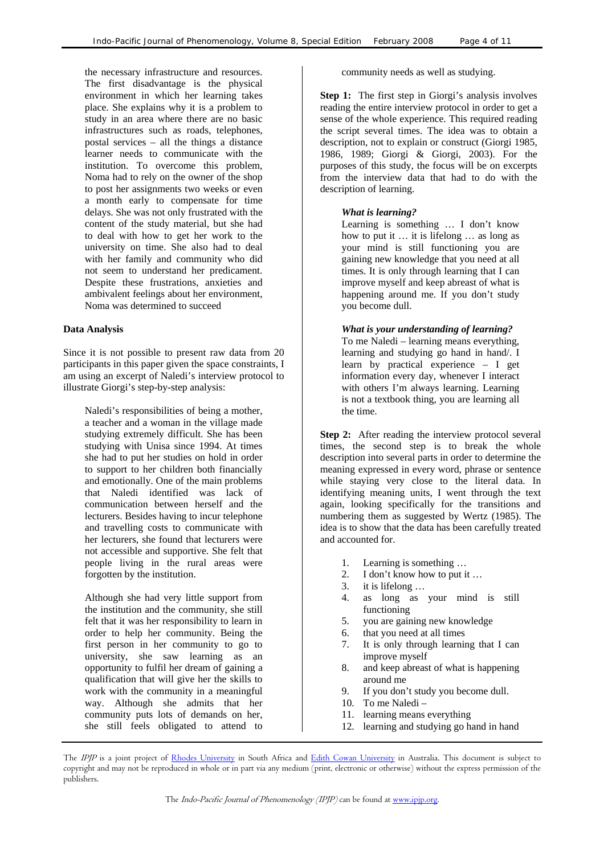the necessary infrastructure and resources. The first disadvantage is the physical environment in which her learning takes place. She explains why it is a problem to study in an area where there are no basic infrastructures such as roads, telephones, postal services – all the things a distance learner needs to communicate with the institution. To overcome this problem, Noma had to rely on the owner of the shop to post her assignments two weeks or even a month early to compensate for time delays. She was not only frustrated with the content of the study material, but she had to deal with how to get her work to the university on time. She also had to deal with her family and community who did not seem to understand her predicament. Despite these frustrations, anxieties and ambivalent feelings about her environment, Noma was determined to succeed

# **Data Analysis**

Since it is not possible to present raw data from 20 participants in this paper given the space constraints, I am using an excerpt of Naledi's interview protocol to illustrate Giorgi's step-by-step analysis:

Naledi's responsibilities of being a mother, a teacher and a woman in the village made studying extremely difficult. She has been studying with Unisa since 1994. At times she had to put her studies on hold in order to support to her children both financially and emotionally. One of the main problems that Naledi identified was lack of communication between herself and the lecturers. Besides having to incur telephone and travelling costs to communicate with her lecturers, she found that lecturers were not accessible and supportive. She felt that people living in the rural areas were forgotten by the institution.

Although she had very little support from the institution and the community, she still felt that it was her responsibility to learn in order to help her community. Being the first person in her community to go to university, she saw learning as an opportunity to fulfil her dream of gaining a qualification that will give her the skills to work with the community in a meaningful way. Although she admits that her community puts lots of demands on her, she still feels obligated to attend to

community needs as well as studying.

**Step 1:** The first step in Giorgi's analysis involves reading the entire interview protocol in order to get a sense of the whole experience. This required reading the script several times. The idea was to obtain a description, not to explain or construct (Giorgi 1985, 1986, 1989; Giorgi & Giorgi, 2003). For the purposes of this study, the focus will be on excerpts from the interview data that had to do with the description of learning.

### *What is learning?*

Learning is something … I don't know how to put it … it is lifelong … as long as your mind is still functioning you are gaining new knowledge that you need at all times. It is only through learning that I can improve myself and keep abreast of what is happening around me. If you don't study you become dull.

## *What is your understanding of learning?*

To me Naledi – learning means everything, learning and studying go hand in hand/. I learn by practical experience – I get information every day, whenever I interact with others I'm always learning. Learning is not a textbook thing, you are learning all the time.

**Step 2:** After reading the interview protocol several times, the second step is to break the whole description into several parts in order to determine the meaning expressed in every word, phrase or sentence while staying very close to the literal data. In identifying meaning units, I went through the text again, looking specifically for the transitions and numbering them as suggested by Wertz (1985). The idea is to show that the data has been carefully treated and accounted for.

- 1. Learning is something …
- 2. I don't know how to put it …
- 3. it is lifelong …
- 4. as long as your mind is still functioning
- 5. you are gaining new knowledge
- 6. that you need at all times
- 7. It is only through learning that I can improve myself
- 8. and keep abreast of what is happening around me
- 9. If you don't study you become dull.
- 10. To me Naledi –
- 11. learning means everything
- 12. learning and studying go hand in hand

The IPJP is a joint project of Rhodes University in South Africa and Edith Cowan University in Australia. This document is subject to copyright and may not be reproduced in whole or in part via any medium (print, electronic or otherwise) without the express permission of the publishers.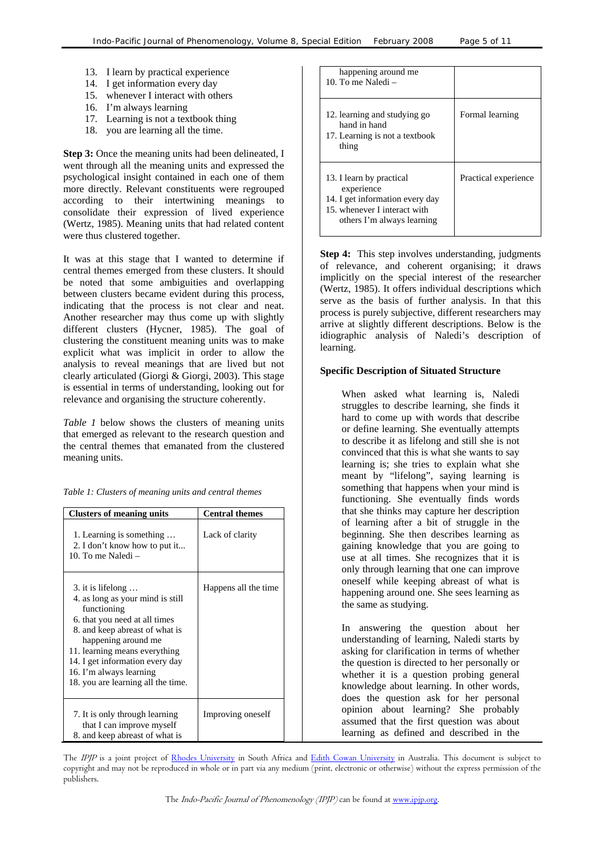- 13. I learn by practical experience
- 14. I get information every day
- 15. whenever I interact with others
- 16. I'm always learning
- 17. Learning is not a textbook thing
- 18. you are learning all the time.

**Step 3:** Once the meaning units had been delineated, I went through all the meaning units and expressed the psychological insight contained in each one of them more directly. Relevant constituents were regrouped according to their intertwining meanings to consolidate their expression of lived experience (Wertz, 1985). Meaning units that had related content were thus clustered together.

It was at this stage that I wanted to determine if central themes emerged from these clusters. It should be noted that some ambiguities and overlapping between clusters became evident during this process, indicating that the process is not clear and neat. Another researcher may thus come up with slightly different clusters (Hycner, 1985). The goal of clustering the constituent meaning units was to make explicit what was implicit in order to allow the analysis to reveal meanings that are lived but not clearly articulated (Giorgi & Giorgi, 2003). This stage is essential in terms of understanding, looking out for relevance and organising the structure coherently.

*Table 1* below shows the clusters of meaning units that emerged as relevant to the research question and the central themes that emanated from the clustered meaning units.

*Table 1: Clusters of meaning units and central themes* 

| <b>Clusters of meaning units</b>                                                                                                                                                                                                                                                                            | <b>Central themes</b> |
|-------------------------------------------------------------------------------------------------------------------------------------------------------------------------------------------------------------------------------------------------------------------------------------------------------------|-----------------------|
| 1. Learning is something<br>2. I don't know how to put it<br>10. To me Naledi –                                                                                                                                                                                                                             | Lack of clarity       |
| 3. it is lifelong $\dots$<br>4. as long as your mind is still<br>functioning<br>6. that you need at all times<br>8. and keep abreast of what is<br>happening around me<br>11. learning means everything<br>14. I get information every day<br>16. I'm always learning<br>18. you are learning all the time. | Happens all the time  |
| 7. It is only through learning<br>that I can improve myself<br>8. and keep abreast of what is                                                                                                                                                                                                               | Improving oneself     |

| happening around me<br>10. To me Naledi –                                                                                               |                      |
|-----------------------------------------------------------------------------------------------------------------------------------------|----------------------|
| 12. learning and studying go<br>hand in hand<br>17. Learning is not a textbook<br>thing                                                 | Formal learning      |
| 13. I learn by practical<br>experience<br>14. I get information every day<br>15. whenever I interact with<br>others I'm always learning | Practical experience |

**Step 4:** This step involves understanding, judgments of relevance, and coherent organising; it draws implicitly on the special interest of the researcher (Wertz, 1985). It offers individual descriptions which serve as the basis of further analysis. In that this process is purely subjective, different researchers may arrive at slightly different descriptions. Below is the idiographic analysis of Naledi's description of learning.

# **Specific Description of Situated Structure**

When asked what learning is, Naledi struggles to describe learning, she finds it hard to come up with words that describe or define learning. She eventually attempts to describe it as lifelong and still she is not convinced that this is what she wants to say learning is; she tries to explain what she meant by "lifelong", saying learning is something that happens when your mind is functioning. She eventually finds words that she thinks may capture her description of learning after a bit of struggle in the beginning. She then describes learning as gaining knowledge that you are going to use at all times. She recognizes that it is only through learning that one can improve oneself while keeping abreast of what is happening around one. She sees learning as the same as studying.

In answering the question about her understanding of learning, Naledi starts by asking for clarification in terms of whether the question is directed to her personally or whether it is a question probing general knowledge about learning. In other words, does the question ask for her personal opinion about learning? She probably assumed that the first question was about learning as defined and described in the

The IPJP is a joint project of Rhodes University in South Africa and Edith Cowan University in Australia. This document is subject to copyright and may not be reproduced in whole or in part via any medium (print, electronic or otherwise) without the express permission of the publishers.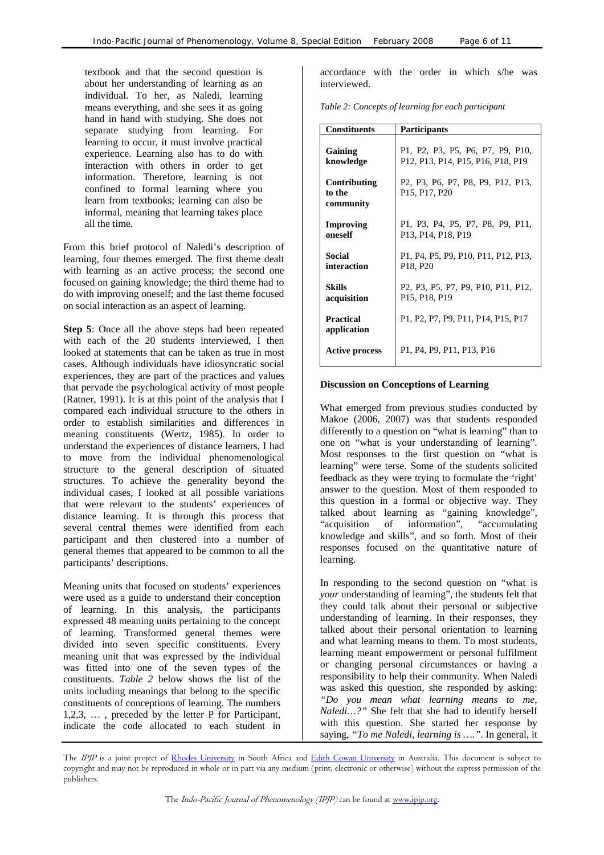textbook and that the second question is about her understanding of learning as an individual. To her, as Naledi, learning means everything, and she sees it as going hand in hand with studying. She does not separate studying from learning. For learning to occur, it must involve practical experience. Learning also has to do with interaction with others in order to get information. Therefore, learning is not confined to formal learning where you learn from textbooks; learning can also be informal, meaning that learning takes place all the time.

From this brief protocol of Naledi's description of learning, four themes emerged. The first theme dealt with learning as an active process; the second one focused on gaining knowledge; the third theme had to do with improving oneself; and the last theme focused on social interaction as an aspect of learning.

**Step 5**: Once all the above steps had been repeated with each of the 20 students interviewed, I then looked at statements that can be taken as true in most cases. Although individuals have idiosyncratic social experiences, they are part of the practices and values that pervade the psychological activity of most people (Ratner, 1991). It is at this point of the analysis that I compared each individual structure to the others in order to establish similarities and differences in meaning constituents (Wertz, 1985). In order to understand the experiences of distance learners, I had to move from the individual phenomenological structure to the general description of situated structures. To achieve the generality beyond the individual cases, I looked at all possible variations that were relevant to the students' experiences of distance learning. It is through this process that several central themes were identified from each participant and then clustered into a number of general themes that appeared to be common to all the participants' descriptions.

Meaning units that focused on students' experiences were used as a guide to understand their conception of learning. In this analysis, the participants expressed 48 meaning units pertaining to the concept of learning. Transformed general themes were divided into seven specific constituents. Every meaning unit that was expressed by the individual was fitted into one of the seven types of the constituents. *Table 2* below shows the list of the units including meanings that belong to the specific constituents of conceptions of learning. The numbers 1,2,3, … , preceded by the letter P for Participant, indicate the code allocated to each student in

accordance with the order in which s/he was interviewed.

*Table 2: Concepts of learning for each participant* 

| <b>Constituents</b>                 | <b>Participants</b>                                                                                                                                                                              |
|-------------------------------------|--------------------------------------------------------------------------------------------------------------------------------------------------------------------------------------------------|
| Gaining                             | P1, P2, P3, P5, P6, P7, P9, P10,                                                                                                                                                                 |
| knowledge                           | P <sub>12</sub> , P <sub>13</sub> , P <sub>14</sub> , P <sub>15</sub> , P <sub>16</sub> , P <sub>18</sub> , P <sub>19</sub>                                                                      |
| Contributing<br>to the<br>community | P <sub>2</sub> , P <sub>3</sub> , P <sub>6</sub> , P <sub>7</sub> , P <sub>8</sub> , P <sub>9</sub> , P <sub>12</sub> , P <sub>13</sub> ,<br>P <sub>15</sub> , P <sub>17</sub> , P <sub>20</sub> |
| <b>Improving</b>                    | P1, P3, P4, P5, P7, P8, P9, P11,                                                                                                                                                                 |
| oneself                             | P <sub>13</sub> , P <sub>14</sub> , P <sub>18</sub> , P <sub>19</sub>                                                                                                                            |
| Social                              | P1, P4, P5, P9, P10, P11, P12, P13,                                                                                                                                                              |
| interaction                         | P <sub>18</sub> , P <sub>20</sub>                                                                                                                                                                |
| <b>Skills</b>                       | P <sub>2</sub> , P <sub>3</sub> , P <sub>5</sub> , P <sub>7</sub> , P <sub>9</sub> , P <sub>10</sub> , P <sub>11</sub> , P <sub>12</sub> ,                                                       |
| acquisition                         | P <sub>15</sub> , P <sub>18</sub> , P <sub>19</sub>                                                                                                                                              |
| <b>Practical</b><br>application     | P1, P2, P7, P9, P11, P14, P15, P17                                                                                                                                                               |
| <b>Active process</b>               | P1, P4, P9, P11, P13, P16                                                                                                                                                                        |

#### **Discussion on Conceptions of Learning**

What emerged from previous studies conducted by Makoe (2006, 2007) was that students responded differently to a question on "what is learning" than to one on "what is your understanding of learning". Most responses to the first question on "what is learning" were terse. Some of the students solicited feedback as they were trying to formulate the 'right' answer to the question. Most of them responded to this question in a formal or objective way. They talked about learning as "gaining knowledge", "acquisition of information", "accumulating knowledge and skills", and so forth. Most of their responses focused on the quantitative nature of learning.

In responding to the second question on "what is *your* understanding of learning", the students felt that they could talk about their personal or subjective understanding of learning. In their responses, they talked about their personal orientation to learning and what learning means to them. To most students, learning meant empowerment or personal fulfilment or changing personal circumstances or having a responsibility to help their community. When Naledi was asked this question, she responded by asking: *"Do you mean what learning means to me, Naledi…?"* She felt that she had to identify herself with this question. She started her response by saying, *"To me Naledi, learning is ….".* In general, it

The IPJP is a joint project of Rhodes University in South Africa and Edith Cowan University in Australia. This document is subject to copyright and may not be reproduced in whole or in part via any medium (print, electronic or otherwise) without the express permission of the publishers.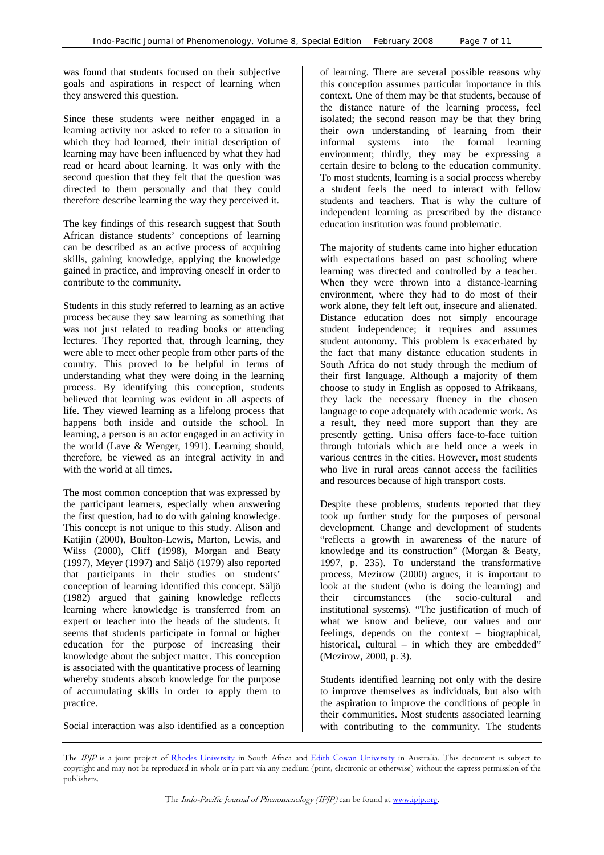was found that students focused on their subjective goals and aspirations in respect of learning when they answered this question.

Since these students were neither engaged in a learning activity nor asked to refer to a situation in which they had learned, their initial description of learning may have been influenced by what they had read or heard about learning. It was only with the second question that they felt that the question was directed to them personally and that they could therefore describe learning the way they perceived it.

The key findings of this research suggest that South African distance students' conceptions of learning can be described as an active process of acquiring skills, gaining knowledge, applying the knowledge gained in practice, and improving oneself in order to contribute to the community.

Students in this study referred to learning as an active process because they saw learning as something that was not just related to reading books or attending lectures. They reported that, through learning, they were able to meet other people from other parts of the country. This proved to be helpful in terms of understanding what they were doing in the learning process. By identifying this conception, students believed that learning was evident in all aspects of life. They viewed learning as a lifelong process that happens both inside and outside the school. In learning, a person is an actor engaged in an activity in the world (Lave & Wenger, 1991). Learning should, therefore, be viewed as an integral activity in and with the world at all times.

The most common conception that was expressed by the participant learners, especially when answering the first question, had to do with gaining knowledge. This concept is not unique to this study. Alison and Katijin (2000), Boulton-Lewis, Marton, Lewis, and Wilss (2000), Cliff (1998), Morgan and Beaty (1997), Meyer (1997) and Säljö (1979) also reported that participants in their studies on students' conception of learning identified this concept. Säljö (1982) argued that gaining knowledge reflects learning where knowledge is transferred from an expert or teacher into the heads of the students. It seems that students participate in formal or higher education for the purpose of increasing their knowledge about the subject matter. This conception is associated with the quantitative process of learning whereby students absorb knowledge for the purpose of accumulating skills in order to apply them to practice.

of learning. There are several possible reasons why this conception assumes particular importance in this context. One of them may be that students, because of the distance nature of the learning process, feel isolated; the second reason may be that they bring their own understanding of learning from their informal systems into the formal learning environment; thirdly, they may be expressing a certain desire to belong to the education community. To most students, learning is a social process whereby a student feels the need to interact with fellow students and teachers. That is why the culture of independent learning as prescribed by the distance education institution was found problematic.

The majority of students came into higher education with expectations based on past schooling where learning was directed and controlled by a teacher. When they were thrown into a distance-learning environment, where they had to do most of their work alone, they felt left out, insecure and alienated. Distance education does not simply encourage student independence; it requires and assumes student autonomy. This problem is exacerbated by the fact that many distance education students in South Africa do not study through the medium of their first language. Although a majority of them choose to study in English as opposed to Afrikaans, they lack the necessary fluency in the chosen language to cope adequately with academic work. As a result, they need more support than they are presently getting. Unisa offers face-to-face tuition through tutorials which are held once a week in various centres in the cities. However, most students who live in rural areas cannot access the facilities and resources because of high transport costs.

Despite these problems, students reported that they took up further study for the purposes of personal development. Change and development of students "reflects a growth in awareness of the nature of knowledge and its construction" (Morgan & Beaty, 1997, p. 235). To understand the transformative process, Mezirow (2000) argues, it is important to look at the student (who is doing the learning) and their circumstances (the socio-cultural and institutional systems). "The justification of much of what we know and believe, our values and our feelings, depends on the context – biographical, historical, cultural – in which they are embedded" (Mezirow, 2000, p. 3).

Students identified learning not only with the desire to improve themselves as individuals, but also with the aspiration to improve the conditions of people in their communities. Most students associated learning with contributing to the community. The students

Social interaction was also identified as a conception

The IPJP is a joint project of Rhodes University in South Africa and Edith Cowan University in Australia. This document is subject to copyright and may not be reproduced in whole or in part via any medium (print, electronic or otherwise) without the express permission of the publishers.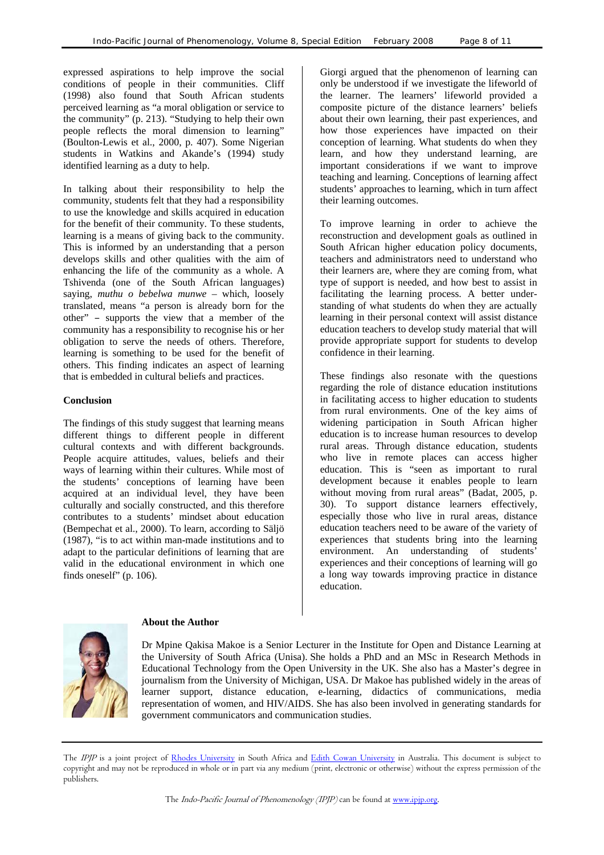expressed aspirations to help improve the social conditions of people in their communities. Cliff (1998) also found that South African students perceived learning as "a moral obligation or service to the community" (p. 213). "Studying to help their own people reflects the moral dimension to learning" (Boulton-Lewis et al., 2000, p. 407). Some Nigerian students in Watkins and Akande's (1994) study identified learning as a duty to help.

In talking about their responsibility to help the community, students felt that they had a responsibility to use the knowledge and skills acquired in education for the benefit of their community. To these students, learning is a means of giving back to the community. This is informed by an understanding that a person develops skills and other qualities with the aim of enhancing the life of the community as a whole. A Tshivenda (one of the South African languages) saying, *muthu o bebelwa munwe* – which, loosely translated, means "a person is already born for the other" – supports the view that a member of the community has a responsibility to recognise his or her obligation to serve the needs of others. Therefore, learning is something to be used for the benefit of others. This finding indicates an aspect of learning that is embedded in cultural beliefs and practices.

## **Conclusion**

The findings of this study suggest that learning means different things to different people in different cultural contexts and with different backgrounds. People acquire attitudes, values, beliefs and their ways of learning within their cultures. While most of the students' conceptions of learning have been acquired at an individual level, they have been culturally and socially constructed, and this therefore contributes to a students' mindset about education (Bempechat et al., 2000). To learn, according to Säljö (1987), "is to act within man-made institutions and to adapt to the particular definitions of learning that are valid in the educational environment in which one finds oneself" (p. 106).

Giorgi argued that the phenomenon of learning can only be understood if we investigate the lifeworld of the learner. The learners' lifeworld provided a composite picture of the distance learners' beliefs about their own learning, their past experiences, and how those experiences have impacted on their conception of learning. What students do when they learn, and how they understand learning, are important considerations if we want to improve teaching and learning. Conceptions of learning affect students' approaches to learning, which in turn affect their learning outcomes.

To improve learning in order to achieve the reconstruction and development goals as outlined in South African higher education policy documents, teachers and administrators need to understand who their learners are, where they are coming from, what type of support is needed, and how best to assist in facilitating the learning process. A better understanding of what students do when they are actually learning in their personal context will assist distance education teachers to develop study material that will provide appropriate support for students to develop confidence in their learning.

These findings also resonate with the questions regarding the role of distance education institutions in facilitating access to higher education to students from rural environments. One of the key aims of widening participation in South African higher education is to increase human resources to develop rural areas. Through distance education, students who live in remote places can access higher education. This is "seen as important to rural development because it enables people to learn without moving from rural areas" (Badat, 2005, p. 30). To support distance learners effectively, especially those who live in rural areas, distance education teachers need to be aware of the variety of experiences that students bring into the learning environment. An understanding of students' experiences and their conceptions of learning will go a long way towards improving practice in distance education.



# **About the Author**

Dr Mpine Qakisa Makoe is a Senior Lecturer in the Institute for Open and Distance Learning at the University of South Africa (Unisa). She holds a PhD and an MSc in Research Methods in Educational Technology from the Open University in the UK. She also has a Master's degree in journalism from the University of Michigan, USA. Dr Makoe has published widely in the areas of learner support, distance education, e-learning, didactics of communications, media representation of women, and HIV/AIDS. She has also been involved in generating standards for government communicators and communication studies.

The IPJP is a joint project of Rhodes University in South Africa and Edith Cowan University in Australia. This document is subject to copyright and may not be reproduced in whole or in part via any medium (print, electronic or otherwise) without the express permission of the publishers.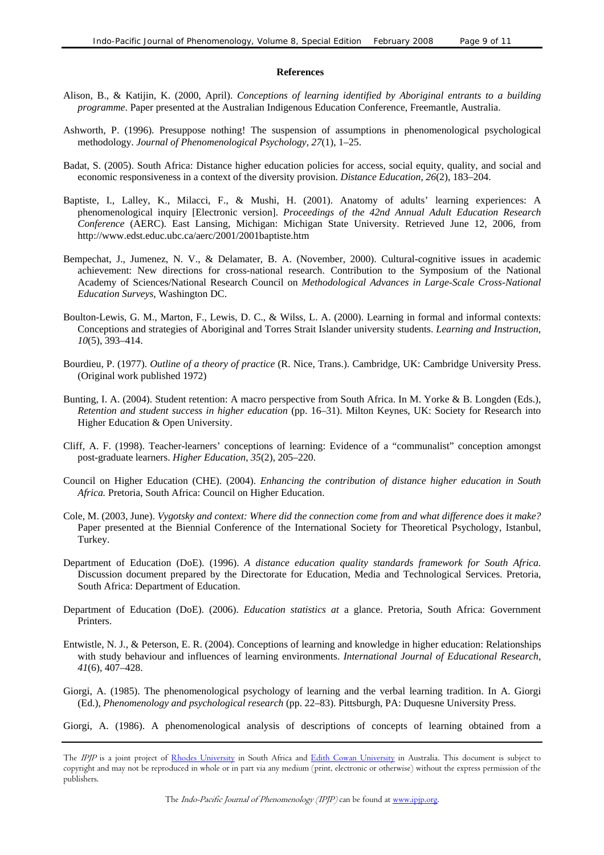#### **References**

- Alison, B., & Katijin, K. (2000, April). *Conceptions of learning identified by Aboriginal entrants to a building programme*. Paper presented at the Australian Indigenous Education Conference, Freemantle, Australia.
- Ashworth, P. (1996). Presuppose nothing! The suspension of assumptions in phenomenological psychological methodology. *Journal of Phenomenological Psychology*, *27*(1), 1–25.
- Badat, S. (2005). South Africa: Distance higher education policies for access, social equity, quality, and social and economic responsiveness in a context of the diversity provision. *Distance Education*, *26*(2), 183–204.
- Baptiste, I., Lalley, K., Milacci, F., & Mushi, H. (2001). Anatomy of adults' learning experiences: A phenomenological inquiry [Electronic version]. *Proceedings of the 42nd Annual Adult Education Research Conference* (AERC). East Lansing, Michigan: Michigan State University. Retrieved June 12, 2006, from http://www.edst.educ.ubc.ca/aerc/2001/2001baptiste.htm
- Bempechat, J., Jumenez, N. V., & Delamater, B. A. (November, 2000). Cultural-cognitive issues in academic achievement: New directions for cross-national research. Contribution to the Symposium of the National Academy of Sciences/National Research Council on *Methodological Advances in Large-Scale Cross-National Education Surveys*, Washington DC.
- Boulton-Lewis, G. M., Marton, F., Lewis, D. C., & Wilss, L. A. (2000). Learning in formal and informal contexts: Conceptions and strategies of Aboriginal and Torres Strait Islander university students. *Learning and Instruction*, *10*(5), 393–414.
- Bourdieu, P. (1977). *Outline of a theory of practice* (R. Nice, Trans.). Cambridge, UK: Cambridge University Press. (Original work published 1972)
- Bunting, I. A. (2004). Student retention: A macro perspective from South Africa. In M. Yorke & B. Longden (Eds.), *Retention and student success in higher education* (pp. 16–31). Milton Keynes, UK: Society for Research into Higher Education & Open University.
- Cliff, A. F. (1998). Teacher-learners' conceptions of learning: Evidence of a "communalist" conception amongst post-graduate learners. *Higher Education*, *35*(2), 205–220.
- Council on Higher Education (CHE). (2004). *Enhancing the contribution of distance higher education in South Africa.* Pretoria, South Africa: Council on Higher Education.
- Cole, M. (2003, June). *Vygotsky and context: Where did the connection come from and what difference does it make?* Paper presented at the Biennial Conference of the International Society for Theoretical Psychology, Istanbul, Turkey.
- Department of Education (DoE). (1996). *A distance education quality standards framework for South Africa.* Discussion document prepared by the Directorate for Education, Media and Technological Services. Pretoria, South Africa: Department of Education.
- Department of Education (DoE). (2006). *Education statistics at* a glance. Pretoria, South Africa: Government Printers.
- Entwistle, N. J., & Peterson, E. R. (2004). Conceptions of learning and knowledge in higher education: Relationships with study behaviour and influences of learning environments. *International Journal of Educational Research*, *41*(6), 407–428.
- Giorgi, A. (1985). The phenomenological psychology of learning and the verbal learning tradition. In A. Giorgi (Ed.), *Phenomenology and psychological research* (pp. 22–83). Pittsburgh, PA: Duquesne University Press.
- Giorgi, A. (1986). A phenomenological analysis of descriptions of concepts of learning obtained from a

The IPJP is a joint project of Rhodes University in South Africa and Edith Cowan University in Australia. This document is subject to copyright and may not be reproduced in whole or in part via any medium (print, electronic or otherwise) without the express permission of the publishers.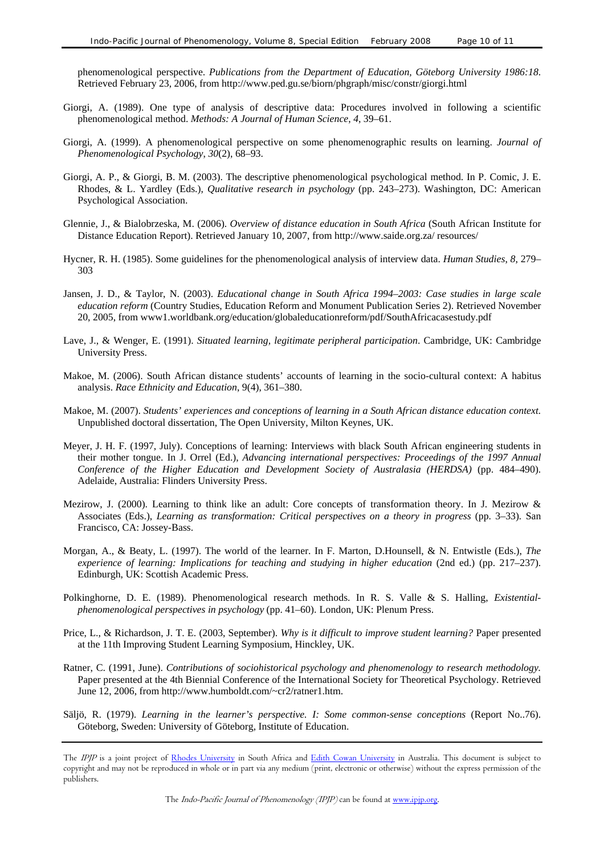phenomenological perspective. *Publications from the Department of Education, Göteborg University 1986:18*. Retrieved February 23, 2006, from http://www.ped.gu.se/biorn/phgraph/misc/constr/giorgi.html

- Giorgi, A. (1989). One type of analysis of descriptive data: Procedures involved in following a scientific phenomenological method. *Methods: A Journal of Human Science*, *4*, 39–61.
- Giorgi, A. (1999). A phenomenological perspective on some phenomenographic results on learning. *Journal of Phenomenological Psychology*, *30*(2), 68–93.
- Giorgi, A. P., & Giorgi, B. M. (2003). The descriptive phenomenological psychological method. In P. Comic, J. E. Rhodes, & L. Yardley (Eds.), *Qualitative research in psychology* (pp. 243–273). Washington, DC: American Psychological Association.
- Glennie, J., & Bialobrzeska, M. (2006). *Overview of distance education in South Africa* (South African Institute for Distance Education Report). Retrieved January 10, 2007, from http://www.saide.org.za/ resources/
- Hycner, R. H. (1985). Some guidelines for the phenomenological analysis of interview data. *Human Studies*, *8*, 279– 303
- Jansen, J. D., & Taylor, N. (2003). *Educational change in South Africa 1994–2003: Case studies in large scale education reform* (Country Studies, Education Reform and Monument Publication Series 2). Retrieved November 20, 2005, from www1.worldbank.org/education/globaleducationreform/pdf/SouthAfricacasestudy.pdf
- Lave, J., & Wenger, E. (1991). *Situated learning, legitimate peripheral participation*. Cambridge, UK: Cambridge University Press.
- Makoe, M. (2006). South African distance students' accounts of learning in the socio-cultural context: A habitus analysis. *Race Ethnicity and Education*, 9(4), 361–380.
- Makoe, M. (2007). *Students' experiences and conceptions of learning in a South African distance education context.* Unpublished doctoral dissertation, The Open University, Milton Keynes, UK.
- Meyer, J. H. F. (1997, July). Conceptions of learning: Interviews with black South African engineering students in their mother tongue. In J. Orrel (Ed.), *Advancing international perspectives: Proceedings of the 1997 Annual Conference of the Higher Education and Development Society of Australasia (HERDSA)* (pp. 484–490). Adelaide, Australia: Flinders University Press.
- Mezirow, J. (2000). Learning to think like an adult: Core concepts of transformation theory. In J. Mezirow & Associates (Eds.), *Learning as transformation: Critical perspectives on a theory in progress* (pp. 3–33)*.* San Francisco, CA: Jossey-Bass.
- Morgan, A., & Beaty, L. (1997). The world of the learner. In F. Marton, D.Hounsell, & N. Entwistle (Eds.), *The experience of learning: Implications for teaching and studying in higher education* (2nd ed.) (pp. 217–237). Edinburgh, UK: Scottish Academic Press.
- Polkinghorne, D. E. (1989). Phenomenological research methods. In R. S. Valle & S. Halling, *Existentialphenomenological perspectives in psychology* (pp. 41–60). London, UK: Plenum Press.
- Price, L., & Richardson, J. T. E. (2003, September). *Why is it difficult to improve student learning?* Paper presented at the 11th Improving Student Learning Symposium, Hinckley, UK.
- Ratner, C. (1991, June). *Contributions of sociohistorical psychology and phenomenology to research methodology.* Paper presented at the 4th Biennial Conference of the International Society for Theoretical Psychology. Retrieved June 12, 2006, from http://www.humboldt.com/~cr2/ratner1.htm.
- Säljö, R. (1979). *Learning in the learner's perspective. I: Some common-sense conceptions* (Report No..76). Göteborg, Sweden: University of Göteborg, Institute of Education.

The IPJP is a joint project of Rhodes University in South Africa and Edith Cowan University in Australia. This document is subject to copyright and may not be reproduced in whole or in part via any medium (print, electronic or otherwise) without the express permission of the publishers.